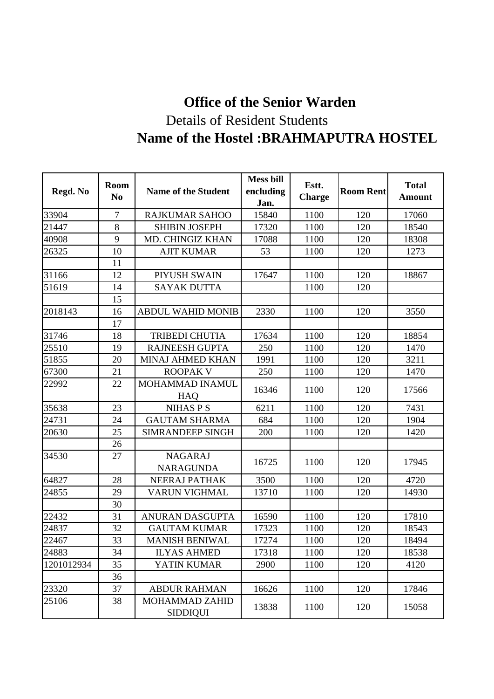## **Office of the Senior Warden** Details of Resident Students **Name of the Hostel :BRAHMAPUTRA HOSTEL**

| Regd. No   | <b>Room</b><br>N <sub>0</sub> | <b>Name of the Student</b>               | <b>Mess bill</b><br>encluding<br>Jan. | Estt.<br><b>Charge</b> | <b>Room Rent</b> | <b>Total</b><br><b>Amount</b> |
|------------|-------------------------------|------------------------------------------|---------------------------------------|------------------------|------------------|-------------------------------|
| 33904      | 7                             | <b>RAJKUMAR SAHOO</b>                    | 15840                                 | 1100                   | 120              | 17060                         |
| 21447      | 8                             | <b>SHIBIN JOSEPH</b>                     | 17320                                 | 1100                   | 120              | 18540                         |
| 40908      | 9                             | <b>MD. CHINGIZ KHAN</b>                  | 17088                                 | 1100                   | 120              | 18308                         |
| 26325      | 10                            | <b>AJIT KUMAR</b>                        | 53                                    | 1100                   | 120              | 1273                          |
|            | 11                            |                                          |                                       |                        |                  |                               |
| 31166      | 12                            | PIYUSH SWAIN                             | 17647                                 | 1100                   | 120              | 18867                         |
| 51619      | 14                            | <b>SAYAK DUTTA</b>                       |                                       | 1100                   | 120              |                               |
|            | 15                            |                                          |                                       |                        |                  |                               |
| 2018143    | 16                            | <b>ABDUL WAHID MONIB</b>                 | 2330                                  | 1100                   | 120              | 3550                          |
|            | 17                            |                                          |                                       |                        |                  |                               |
| 31746      | 18                            | <b>TRIBEDI CHUTIA</b>                    | 17634                                 | 1100                   | 120              | 18854                         |
| 25510      | 19                            | <b>RAJNEESH GUPTA</b>                    | 250                                   | 1100                   | 120              | 1470                          |
| 51855      | 20                            | <b>MINAJ AHMED KHAN</b>                  | 1991                                  | 1100                   | 120              | 3211                          |
| 67300      | 21                            | <b>ROOPAK V</b>                          | 250                                   | 1100                   | 120              | 1470                          |
| 22992      | 22                            | <b>MOHAMMAD INAMUL</b><br>HAQ            | 16346                                 | 1100                   | 120              | 17566                         |
| 35638      | 23                            | <b>NIHAS P S</b>                         | 6211                                  | 1100                   | 120              | 7431                          |
| 24731      | 24                            | <b>GAUTAM SHARMA</b>                     | 684                                   | 1100                   | 120              | 1904                          |
| 20630      | 25                            | <b>SIMRANDEEP SINGH</b>                  | 200                                   | 1100                   | 120              | 1420                          |
|            | 26                            |                                          |                                       |                        |                  |                               |
| 34530      | 27                            | <b>NAGARAJ</b><br><b>NARAGUNDA</b>       | 16725                                 | 1100                   | 120              | 17945                         |
| 64827      | 28                            | NEERAJ PATHAK                            | 3500                                  | 1100                   | 120              | 4720                          |
| 24855      | 29                            | VARUN VIGHMAL                            | 13710                                 | 1100                   | 120              | 14930                         |
|            | 30                            |                                          |                                       |                        |                  |                               |
| 22432      | 31                            | <b>ANURAN DASGUPTA</b>                   | 16590                                 | 1100                   | 120              | 17810                         |
| 24837      | 32                            | <b>GAUTAM KUMAR</b>                      | 17323                                 | 1100                   | 120              | 18543                         |
| 22467      | 33                            | <b>MANISH BENIWAL</b>                    | 17274                                 | 1100                   | 120              | 18494                         |
| 24883      | 34                            | <b>ILYAS AHMED</b>                       | 17318                                 | 1100                   | 120              | 18538                         |
| 1201012934 | 35                            | YATIN KUMAR                              | 2900                                  | 1100                   | 120              | 4120                          |
|            | 36                            |                                          |                                       |                        |                  |                               |
| 23320      | 37                            | <b>ABDUR RAHMAN</b>                      | 16626                                 | 1100                   | 120              | 17846                         |
| 25106      | 38                            | <b>MOHAMMAD ZAHID</b><br><b>SIDDIQUI</b> | 13838                                 | 1100                   | 120              | 15058                         |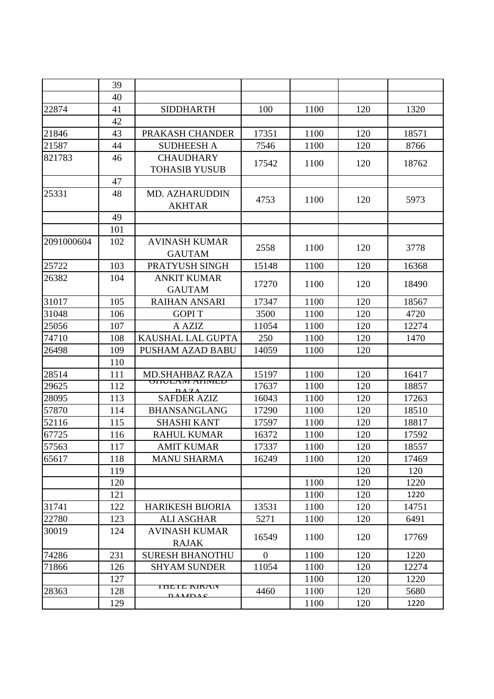|            | 39  |                               |                |      |     |       |
|------------|-----|-------------------------------|----------------|------|-----|-------|
|            | 40  |                               |                |      |     |       |
| 22874      | 41  | <b>SIDDHARTH</b>              | 100            | 1100 | 120 | 1320  |
|            | 42  |                               |                |      |     |       |
| 21846      | 43  | PRAKASH CHANDER               | 17351          | 1100 | 120 | 18571 |
| 21587      | 44  | <b>SUDHEESH A</b>             | 7546           | 1100 | 120 | 8766  |
| 821783     | 46  | <b>CHAUDHARY</b>              |                |      |     |       |
|            |     | <b>TOHASIB YUSUB</b>          | 17542          | 1100 | 120 | 18762 |
|            | 47  |                               |                |      |     |       |
| 25331      | 48  | <b>MD. AZHARUDDIN</b>         | 4753           | 1100 | 120 | 5973  |
|            |     | <b>AKHTAR</b>                 |                |      |     |       |
|            | 49  |                               |                |      |     |       |
|            | 101 |                               |                |      |     |       |
| 2091000604 | 102 | <b>AVINASH KUMAR</b>          | 2558           | 1100 | 120 | 3778  |
|            |     | <b>GAUTAM</b>                 |                |      |     |       |
| 25722      | 103 | PRATYUSH SINGH                | 15148          | 1100 | 120 | 16368 |
| 26382      | 104 | <b>ANKIT KUMAR</b>            | 17270          | 1100 | 120 | 18490 |
|            |     | <b>GAUTAM</b>                 |                |      |     |       |
| 31017      | 105 | <b>RAIHAN ANSARI</b>          | 17347          | 1100 | 120 | 18567 |
| 31048      | 106 | <b>GOPIT</b>                  | 3500           | 1100 | 120 | 4720  |
| 25056      | 107 | A AZIZ                        | 11054          | 1100 | 120 | 12274 |
| 74710      | 108 | KAUSHAL LAL GUPTA             | 250            | 1100 | 120 | 1470  |
| 26498      | 109 | <b>PUSHAM AZAD BABU</b>       | 14059          | 1100 | 120 |       |
|            | 110 |                               |                |      |     |       |
| 28514      | 111 | <b>MD.SHAHBAZ RAZA</b>        | 15197          | 1100 | 120 | 16417 |
| 29625      | 112 | UNULANI ANIMILU<br>$\sqrt{7}$ | 17637          | 1100 | 120 | 18857 |
| 28095      | 113 | <b>SAFDER AZIZ</b>            | 16043          | 1100 | 120 | 17263 |
| 57870      | 114 | <b>BHANSANGLANG</b>           | 17290          | 1100 | 120 | 18510 |
| 52116      | 115 | <b>SHASHI KANT</b>            | 17597          | 1100 | 120 | 18817 |
| 67725      | 116 | <b>RAHUL KUMAR</b>            | 16372          | 1100 | 120 | 17592 |
| 57563      | 117 | <b>AMIT KUMAR</b>             | 17337          | 1100 | 120 | 18557 |
| 65617      | 118 | <b>MANU SHARMA</b>            | 16249          | 1100 | 120 | 17469 |
|            | 119 |                               |                |      | 120 | 120   |
|            | 120 |                               |                | 1100 | 120 | 1220  |
|            | 121 |                               |                | 1100 | 120 | 1220  |
| 31741      | 122 | <b>HARIKESH BIJORIA</b>       | 13531          | 1100 | 120 | 14751 |
| 22780      | 123 | <b>ALI ASGHAR</b>             | 5271           | 1100 | 120 | 6491  |
| 30019      | 124 | <b>AVINASH KUMAR</b>          | 16549          | 1100 | 120 | 17769 |
|            |     | <b>RAJAK</b>                  |                |      |     |       |
| 74286      | 231 | <b>SURESH BHANOTHU</b>        | $\overline{0}$ | 1100 | 120 | 1220  |
| 71866      | 126 | <b>SHYAM SUNDER</b>           | 11054          | 1100 | 120 | 12274 |
|            | 127 |                               |                | 1100 | 120 | 1220  |
| 28363      | 128 | HILHL NINAIV<br>$P$ and $C$   | 4460           | 1100 | 120 | 5680  |
|            | 129 |                               |                | 1100 | 120 | 1220  |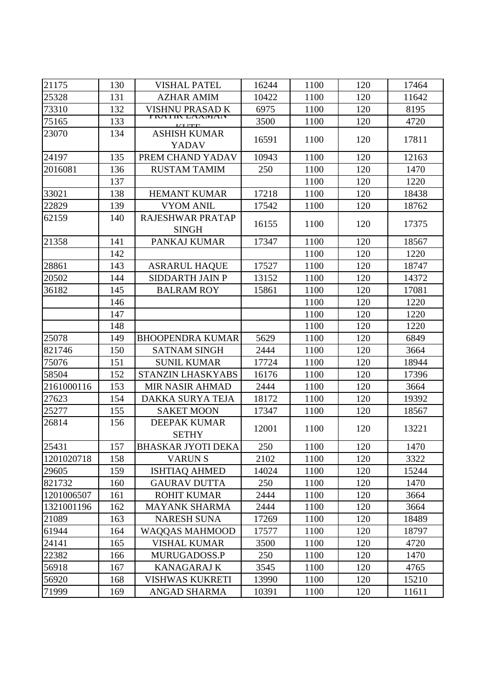| 21175      | 130 | <b>VISHAL PATEL</b>                     | 16244 | 1100 | 120 | 17464 |
|------------|-----|-----------------------------------------|-------|------|-----|-------|
| 25328      | 131 | <b>AZHAR AMIM</b>                       | 10422 | 1100 | 120 | 11642 |
| 73310      | 132 | VISHNU PRASAD K                         | 6975  | 1100 | 120 | 8195  |
| 75165      | 133 | I NATIN LAAWAN<br><b>IZI ITEL</b>       | 3500  | 1100 | 120 | 4720  |
| 23070      | 134 | <b>ASHISH KUMAR</b><br><b>YADAV</b>     | 16591 | 1100 | 120 | 17811 |
| 24197      | 135 | PREM CHAND YADAV                        | 10943 | 1100 | 120 | 12163 |
| 2016081    | 136 | <b>RUSTAM TAMIM</b>                     | 250   | 1100 | 120 | 1470  |
|            | 137 |                                         |       | 1100 | 120 | 1220  |
| 33021      | 138 | <b>HEMANT KUMAR</b>                     | 17218 | 1100 | 120 | 18438 |
| 22829      | 139 | <b>VYOM ANIL</b>                        | 17542 | 1100 | 120 | 18762 |
| 62159      | 140 | <b>RAJESHWAR PRATAP</b><br><b>SINGH</b> | 16155 | 1100 | 120 | 17375 |
| 21358      | 141 | PANKAJ KUMAR                            | 17347 | 1100 | 120 | 18567 |
|            | 142 |                                         |       | 1100 | 120 | 1220  |
| 28861      | 143 | <b>ASRARUL HAQUE</b>                    | 17527 | 1100 | 120 | 18747 |
| 20502      | 144 | <b>SIDDARTH JAIN P</b>                  | 13152 | 1100 | 120 | 14372 |
| 36182      | 145 | <b>BALRAM ROY</b>                       | 15861 | 1100 | 120 | 17081 |
|            | 146 |                                         |       | 1100 | 120 | 1220  |
|            | 147 |                                         |       | 1100 | 120 | 1220  |
|            | 148 |                                         |       | 1100 | 120 | 1220  |
| 25078      | 149 | <b>BHOOPENDRA KUMAR</b>                 | 5629  | 1100 | 120 | 6849  |
| 821746     | 150 | <b>SATNAM SINGH</b>                     | 2444  | 1100 | 120 | 3664  |
| 75076      | 151 | <b>SUNIL KUMAR</b>                      | 17724 | 1100 | 120 | 18944 |
| 58504      | 152 | STANZIN LHASKYABS                       | 16176 | 1100 | 120 | 17396 |
| 2161000116 | 153 | <b>MIR NASIR AHMAD</b>                  | 2444  | 1100 | 120 | 3664  |
| 27623      | 154 | DAKKA SURYA TEJA                        | 18172 | 1100 | 120 | 19392 |
| 25277      | 155 | <b>SAKET MOON</b>                       | 17347 | 1100 | 120 | 18567 |
| 26814      | 156 | <b>DEEPAK KUMAR</b><br><b>SETHY</b>     | 12001 | 1100 | 120 | 13221 |
| 25431      | 157 | <b>BHASKAR JYOTI DEKA</b>               | 250   | 1100 | 120 | 1470  |
| 1201020718 | 158 | <b>VARUNS</b>                           | 2102  | 1100 | 120 | 3322  |
| 29605      | 159 | <b>ISHTIAQ AHMED</b>                    | 14024 | 1100 | 120 | 15244 |
| 821732     | 160 | <b>GAURAV DUTTA</b>                     | 250   | 1100 | 120 | 1470  |
| 1201006507 | 161 | <b>ROHIT KUMAR</b>                      | 2444  | 1100 | 120 | 3664  |
| 1321001196 | 162 | <b>MAYANK SHARMA</b>                    | 2444  | 1100 | 120 | 3664  |
| 21089      | 163 | <b>NARESH SUNA</b>                      | 17269 | 1100 | 120 | 18489 |
| 61944      | 164 | <b>WAQQAS MAHMOOD</b>                   | 17577 | 1100 | 120 | 18797 |
| 24141      | 165 | <b>VISHAL KUMAR</b>                     | 3500  | 1100 | 120 | 4720  |
| 22382      | 166 | MURUGADOSS.P                            | 250   | 1100 | 120 | 1470  |
| 56918      | 167 | <b>KANAGARAJ K</b>                      | 3545  | 1100 | 120 | 4765  |
| 56920      | 168 | <b>VISHWAS KUKRETI</b>                  | 13990 | 1100 | 120 | 15210 |
| 71999      | 169 | ANGAD SHARMA                            | 10391 | 1100 | 120 | 11611 |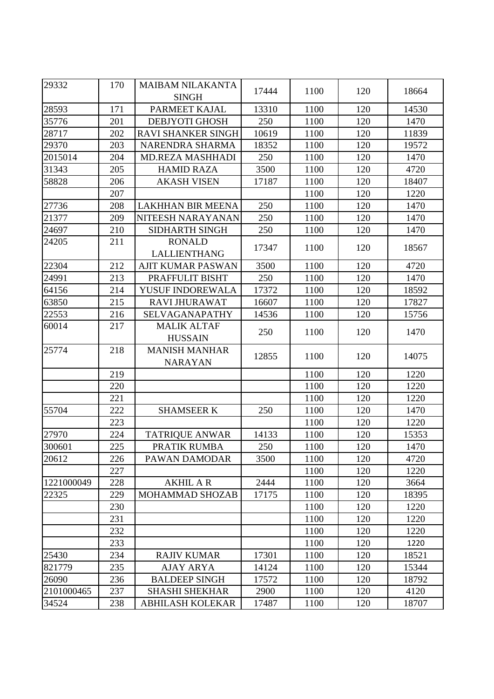| 29332      | 170 | <b>MAIBAM NILAKANTA</b><br><b>SINGH</b> | 17444 | 1100 | 120 | 18664 |
|------------|-----|-----------------------------------------|-------|------|-----|-------|
| 28593      | 171 | PARMEET KAJAL                           | 13310 | 1100 | 120 | 14530 |
| 35776      | 201 | <b>DEBJYOTI GHOSH</b>                   | 250   | 1100 | 120 | 1470  |
| 28717      | 202 | <b>RAVI SHANKER SINGH</b>               | 10619 | 1100 | 120 | 11839 |
| 29370      | 203 | NARENDRA SHARMA                         | 18352 | 1100 | 120 | 19572 |
| 2015014    | 204 | <b>MD.REZA MASHHADI</b>                 | 250   | 1100 | 120 | 1470  |
| 31343      | 205 | <b>HAMID RAZA</b>                       | 3500  | 1100 | 120 | 4720  |
| 58828      | 206 | <b>AKASH VISEN</b>                      | 17187 | 1100 | 120 | 18407 |
|            | 207 |                                         |       | 1100 | 120 | 1220  |
| 27736      | 208 | <b>LAKHHAN BIR MEENA</b>                | 250   | 1100 | 120 | 1470  |
| 21377      | 209 | NITEESH NARAYANAN                       | 250   | 1100 | 120 | 1470  |
| 24697      | 210 | <b>SIDHARTH SINGH</b>                   | 250   | 1100 | 120 | 1470  |
| 24205      | 211 | <b>RONALD</b>                           |       |      |     |       |
|            |     | <b>LALLIENTHANG</b>                     | 17347 | 1100 | 120 | 18567 |
| 22304      | 212 | <b>AJIT KUMAR PASWAN</b>                | 3500  | 1100 | 120 | 4720  |
| 24991      | 213 | PRAFFULIT BISHT                         | 250   | 1100 | 120 | 1470  |
| 64156      | 214 | YUSUF INDOREWALA                        | 17372 | 1100 | 120 | 18592 |
| 63850      | 215 | <b>RAVI JHURAWAT</b>                    | 16607 | 1100 | 120 | 17827 |
| 22553      | 216 | <b>SELVAGANAPATHY</b>                   | 14536 | 1100 | 120 | 15756 |
| 60014      | 217 | <b>MALIK ALTAF</b><br><b>HUSSAIN</b>    | 250   | 1100 | 120 | 1470  |
| 25774      | 218 | <b>MANISH MANHAR</b><br><b>NARAYAN</b>  | 12855 | 1100 | 120 | 14075 |
|            | 219 |                                         |       | 1100 | 120 | 1220  |
|            | 220 |                                         |       | 1100 | 120 | 1220  |
|            | 221 |                                         |       | 1100 | 120 | 1220  |
| 55704      | 222 | <b>SHAMSEER K</b>                       | 250   | 1100 | 120 | 1470  |
|            | 223 |                                         |       | 1100 | 120 | 1220  |
| 27970      | 224 | <b>TATRIQUE ANWAR</b>                   | 14133 | 1100 | 120 | 15353 |
| 300601     | 225 | PRATIK RUMBA                            | 250   | 1100 | 120 | 1470  |
| 20612      | 226 | PAWAN DAMODAR                           | 3500  | 1100 | 120 | 4720  |
|            | 227 |                                         |       | 1100 | 120 | 1220  |
| 1221000049 | 228 | <b>AKHIL A R</b>                        | 2444  | 1100 | 120 | 3664  |
| 22325      | 229 | <b>MOHAMMAD SHOZAB</b>                  | 17175 | 1100 | 120 | 18395 |
|            | 230 |                                         |       | 1100 | 120 | 1220  |
|            | 231 |                                         |       | 1100 | 120 | 1220  |
|            | 232 |                                         |       | 1100 | 120 | 1220  |
|            | 233 |                                         |       | 1100 | 120 | 1220  |
| 25430      | 234 | <b>RAJIV KUMAR</b>                      | 17301 | 1100 | 120 | 18521 |
| 821779     | 235 | <b>AJAY ARYA</b>                        | 14124 | 1100 | 120 | 15344 |
| 26090      | 236 | <b>BALDEEP SINGH</b>                    | 17572 | 1100 | 120 | 18792 |
| 2101000465 | 237 | <b>SHASHI SHEKHAR</b>                   | 2900  | 1100 | 120 | 4120  |
| 34524      | 238 | <b>ABHILASH KOLEKAR</b>                 | 17487 | 1100 | 120 | 18707 |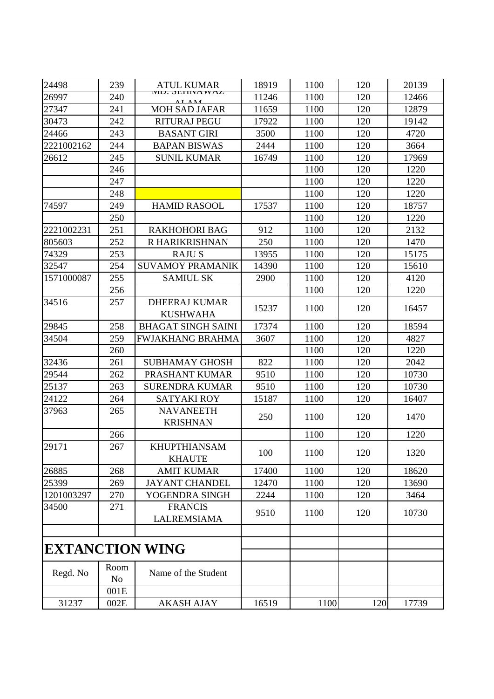| 24498                  | 239                    | <b>ATUL KUMAR</b>                       | 18919 | 1100 | 120 | 20139 |
|------------------------|------------------------|-----------------------------------------|-------|------|-----|-------|
| 26997                  | 240                    | MIU. SELINA WAZ                         | 11246 | 1100 | 120 | 12466 |
| 27347                  | 241                    | <b>MOH SAD JAFAR</b>                    | 11659 | 1100 | 120 | 12879 |
| 30473                  | 242                    | <b>RITURAJ PEGU</b>                     | 17922 | 1100 | 120 | 19142 |
| 24466                  | 243                    | <b>BASANT GIRI</b>                      | 3500  | 1100 | 120 | 4720  |
| 2221002162             | 244                    | <b>BAPAN BISWAS</b>                     | 2444  | 1100 | 120 | 3664  |
| 26612                  | 245                    | <b>SUNIL KUMAR</b>                      | 16749 | 1100 | 120 | 17969 |
|                        | 246                    |                                         |       | 1100 | 120 | 1220  |
|                        | 247                    |                                         |       | 1100 | 120 | 1220  |
|                        | 248                    |                                         |       | 1100 | 120 | 1220  |
| 74597                  | 249                    | <b>HAMID RASOOL</b>                     | 17537 | 1100 | 120 | 18757 |
|                        | 250                    |                                         |       | 1100 | 120 | 1220  |
| 2221002231             | 251                    | <b>RAKHOHORI BAG</b>                    | 912   | 1100 | 120 | 2132  |
| 805603                 | 252                    | R HARIKRISHNAN                          | 250   | 1100 | 120 | 1470  |
| 74329                  | 253                    | <b>RAJUS</b>                            | 13955 | 1100 | 120 | 15175 |
| 32547                  | 254                    | <b>SUVAMOY PRAMANIK</b>                 | 14390 | 1100 | 120 | 15610 |
| 1571000087             | 255                    | <b>SAMIUL SK</b>                        | 2900  | 1100 | 120 | 4120  |
|                        | 256                    |                                         |       | 1100 | 120 | 1220  |
| 34516                  | 257                    | <b>DHEERAJ KUMAR</b><br><b>KUSHWAHA</b> | 15237 | 1100 | 120 | 16457 |
| 29845                  | 258                    | <b>BHAGAT SINGH SAINI</b>               | 17374 | 1100 | 120 | 18594 |
| 34504                  | 259                    | <b>FWJAKHANG BRAHMA</b>                 | 3607  | 1100 | 120 | 4827  |
|                        | 260                    |                                         |       | 1100 | 120 | 1220  |
| 32436                  | 261                    | <b>SUBHAMAY GHOSH</b>                   | 822   | 1100 | 120 | 2042  |
| 29544                  | 262                    | PRASHANT KUMAR                          | 9510  | 1100 | 120 | 10730 |
| 25137                  | 263                    | <b>SURENDRA KUMAR</b>                   | 9510  | 1100 | 120 | 10730 |
| 24122                  | 264                    | <b>SATYAKI ROY</b>                      | 15187 | 1100 | 120 | 16407 |
| 37963                  | 265                    | <b>NAVANEETH</b><br><b>KRISHNAN</b>     | 250   | 1100 | 120 | 1470  |
|                        | 266                    |                                         |       | 1100 | 120 | 1220  |
| 29171                  | 267                    | <b>KHUPTHIANSAM</b><br><b>KHAUTE</b>    | 100   | 1100 | 120 | 1320  |
| 26885                  | 268                    | <b>AMIT KUMAR</b>                       | 17400 | 1100 | 120 | 18620 |
| 25399                  | 269                    | <b>JAYANT CHANDEL</b>                   | 12470 | 1100 | 120 | 13690 |
| 1201003297             | 270                    | YOGENDRA SINGH                          | 2244  | 1100 | 120 | 3464  |
| 34500                  | 271                    | <b>FRANCIS</b><br>LALREMSIAMA           | 9510  | 1100 | 120 | 10730 |
|                        |                        |                                         |       |      |     |       |
| <b>EXTANCTION WING</b> |                        |                                         |       |      |     |       |
| Regd. No               | Room<br>N <sub>o</sub> | Name of the Student                     |       |      |     |       |
|                        | 001E                   |                                         |       |      |     |       |
| 31237                  | 002E                   | <b>AKASH AJAY</b>                       | 16519 | 1100 | 120 | 17739 |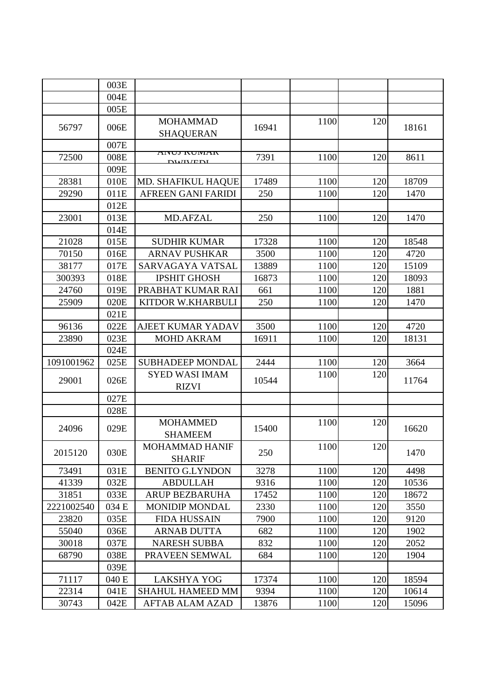|            | 003E  |                                       |       |      |     |       |
|------------|-------|---------------------------------------|-------|------|-----|-------|
|            | 004E  |                                       |       |      |     |       |
|            | 005E  |                                       |       |      |     |       |
| 56797      | 006E  | <b>MOHAMMAD</b><br><b>SHAQUERAN</b>   | 16941 | 1100 | 120 | 18161 |
|            | 007E  |                                       |       |      |     |       |
| 72500      | 008E  | AIVUJ KUIVIAK<br><b>NWWENL</b>        | 7391  | 1100 | 120 | 8611  |
|            | 009E  |                                       |       |      |     |       |
| 28381      | 010E  | <b>MD. SHAFIKUL HAQUE</b>             | 17489 | 1100 | 120 | 18709 |
| 29290      | 011E  | AFREEN GANI FARIDI                    | 250   | 1100 | 120 | 1470  |
|            | 012E  |                                       |       |      |     |       |
| 23001      | 013E  | <b>MD.AFZAL</b>                       | 250   | 1100 | 120 | 1470  |
|            | 014E  |                                       |       |      |     |       |
| 21028      | 015E  | <b>SUDHIR KUMAR</b>                   | 17328 | 1100 | 120 | 18548 |
| 70150      | 016E  | <b>ARNAV PUSHKAR</b>                  | 3500  | 1100 | 120 | 4720  |
| 38177      | 017E  | SARVAGAYA VATSAL                      | 13889 | 1100 | 120 | 15109 |
| 300393     | 018E  | <b>IPSHIT GHOSH</b>                   | 16873 | 1100 | 120 | 18093 |
| 24760      | 019E  | PRABHAT KUMAR RAI                     | 661   | 1100 | 120 | 1881  |
| 25909      | 020E  | KITDOR W.KHARBULI                     | 250   | 1100 | 120 | 1470  |
|            | 021E  |                                       |       |      |     |       |
| 96136      | 022E  | AJEET KUMAR YADAV                     | 3500  | 1100 | 120 | 4720  |
| 23890      | 023E  | <b>MOHD AKRAM</b>                     | 16911 | 1100 | 120 | 18131 |
|            | 024E  |                                       |       |      |     |       |
| 1091001962 | 025E  | <b>SUBHADEEP MONDAL</b>               | 2444  | 1100 | 120 | 3664  |
| 29001      | 026E  | <b>SYED WASI IMAM</b><br><b>RIZVI</b> | 10544 | 1100 | 120 | 11764 |
|            | 027E  |                                       |       |      |     |       |
|            | 028E  |                                       |       |      |     |       |
| 24096      | 029E  | <b>MOHAMMED</b><br><b>SHAMEEM</b>     | 15400 | 1100 | 120 | 16620 |
| 2015120    | 030E  | MOHAMMAD HANIF<br><b>SHARIF</b>       | 250   | 1100 | 120 | 1470  |
| 73491      | 031E  | <b>BENITO G.LYNDON</b>                | 3278  | 1100 | 120 | 4498  |
| 41339      | 032E  | <b>ABDULLAH</b>                       | 9316  | 1100 | 120 | 10536 |
| 31851      | 033E  | <b>ARUP BEZBARUHA</b>                 | 17452 | 1100 | 120 | 18672 |
| 2221002540 | 034 E | <b>MONIDIP MONDAL</b>                 | 2330  | 1100 | 120 | 3550  |
| 23820      | 035E  | <b>FIDA HUSSAIN</b>                   | 7900  | 1100 | 120 | 9120  |
| 55040      | 036E  | <b>ARNAB DUTTA</b>                    | 682   | 1100 | 120 | 1902  |
| 30018      | 037E  | <b>NARESH SUBBA</b>                   | 832   | 1100 | 120 | 2052  |
| 68790      | 038E  | PRAVEEN SEMWAL                        | 684   | 1100 | 120 | 1904  |
|            | 039E  |                                       |       |      |     |       |
| 71117      | 040 E | <b>LAKSHYA YOG</b>                    | 17374 | 1100 | 120 | 18594 |
| 22314      | 041E  | <b>SHAHUL HAMEED MM</b>               | 9394  | 1100 | 120 | 10614 |
| 30743      | 042E  | <b>AFTAB ALAM AZAD</b>                | 13876 | 1100 | 120 | 15096 |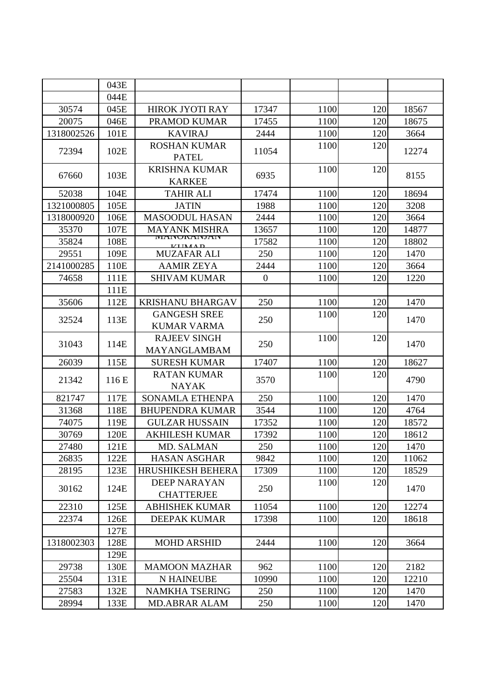|            | 043E  |                                            |                  |      |     |       |
|------------|-------|--------------------------------------------|------------------|------|-----|-------|
|            | 044E  |                                            |                  |      |     |       |
| 30574      | 045E  | HIROK JYOTI RAY                            | 17347            | 1100 | 120 | 18567 |
| 20075      | 046E  | PRAMOD KUMAR                               | 17455            | 1100 | 120 | 18675 |
| 1318002526 | 101E  | <b>KAVIRAJ</b>                             | 2444             | 1100 | 120 | 3664  |
| 72394      | 102E  | <b>ROSHAN KUMAR</b><br><b>PATEL</b>        | 11054            | 1100 | 120 | 12274 |
| 67660      | 103E  | <b>KRISHNA KUMAR</b><br><b>KARKEE</b>      | 6935             | 1100 | 120 | 8155  |
| 52038      | 104E  | <b>TAHIR ALI</b>                           | 17474            | 1100 | 120 | 18694 |
| 1321000805 | 105E  | <b>JATIN</b>                               | 1988             | 1100 | 120 | 3208  |
| 1318000920 | 106E  | <b>MASOODUL HASAN</b>                      | 2444             | 1100 | 120 | 3664  |
| 35370      | 107E  | <b>MAYANK MISHRA</b>                       | 13657            | 1100 | 120 | 14877 |
| 35824      | 108E  | IVIAINUNAINJAIN<br><b>VIIMAD</b>           | 17582            | 1100 | 120 | 18802 |
| 29551      | 109E  | <b>MUZAFAR ALI</b>                         | 250              | 1100 | 120 | 1470  |
| 2141000285 | 110E  | <b>AAMIR ZEYA</b>                          | 2444             | 1100 | 120 | 3664  |
| 74658      | 111E  | <b>SHIVAM KUMAR</b>                        | $\boldsymbol{0}$ | 1100 | 120 | 1220  |
|            | 111E  |                                            |                  |      |     |       |
| 35606      | 112E  | <b>KRISHANU BHARGAV</b>                    | 250              | 1100 | 120 | 1470  |
| 32524      | 113E  | <b>GANGESH SREE</b><br><b>KUMAR VARMA</b>  | 250              | 1100 | 120 | 1470  |
| 31043      | 114E  | <b>RAJEEV SINGH</b><br><b>MAYANGLAMBAM</b> | 250              | 1100 | 120 | 1470  |
| 26039      | 115E  | <b>SURESH KUMAR</b>                        | 17407            | 1100 | 120 | 18627 |
| 21342      | 116 E | <b>RATAN KUMAR</b><br><b>NAYAK</b>         | 3570             | 1100 | 120 | 4790  |
| 821747     | 117E  | <b>SONAMLA ETHENPA</b>                     | 250              | 1100 | 120 | 1470  |
| 31368      | 118E  | <b>BHUPENDRA KUMAR</b>                     | 3544             | 1100 | 120 | 4764  |
| 74075      | 119E  | <b>GULZAR HUSSAIN</b>                      | 17352            | 1100 | 120 | 18572 |
| 30769      | 120E  | <b>AKHILESH KUMAR</b>                      | 17392            | 1100 | 120 | 18612 |
| 27480      | 121E  | MD. SALMAN                                 | 250              | 1100 | 120 | 1470  |
| 26835      | 122E  | <b>HASAN ASGHAR</b>                        | 9842             | 1100 | 120 | 11062 |
| 28195      | 123E  | <b>HRUSHIKESH BEHERA</b>                   | 17309            | 1100 | 120 | 18529 |
| 30162      | 124E  | <b>DEEP NARAYAN</b><br><b>CHATTERJEE</b>   | 250              | 1100 | 120 | 1470  |
| 22310      | 125E  | <b>ABHISHEK KUMAR</b>                      | 11054            | 1100 | 120 | 12274 |
| 22374      | 126E  | <b>DEEPAK KUMAR</b>                        | 17398            | 1100 | 120 | 18618 |
|            | 127E  |                                            |                  |      |     |       |
| 1318002303 | 128E  | <b>MOHD ARSHID</b>                         | 2444             | 1100 | 120 | 3664  |
|            | 129E  |                                            |                  |      |     |       |
| 29738      | 130E  | <b>MAMOON MAZHAR</b>                       | 962              | 1100 | 120 | 2182  |
| 25504      | 131E  | <b>N HAINEUBE</b>                          | 10990            | 1100 | 120 | 12210 |
| 27583      | 132E  | <b>NAMKHA TSERING</b>                      | 250              | 1100 | 120 | 1470  |
| 28994      | 133E  | <b>MD.ABRAR ALAM</b>                       | 250              | 1100 | 120 | 1470  |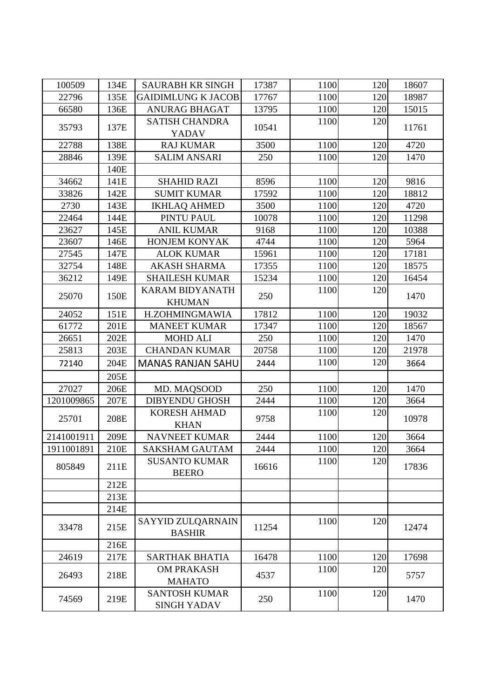| 100509     | 134E | <b>SAURABH KR SINGH</b>                    | 17387 | 1100 | 120 | 18607 |
|------------|------|--------------------------------------------|-------|------|-----|-------|
| 22796      | 135E | <b>GAIDIMLUNG K JACOB</b>                  | 17767 | 1100 | 120 | 18987 |
| 66580      | 136E | <b>ANURAG BHAGAT</b>                       | 13795 | 1100 | 120 | 15015 |
| 35793      | 137E | <b>SATISH CHANDRA</b>                      | 10541 | 1100 | 120 | 11761 |
|            |      | YADAV                                      |       |      |     |       |
| 22788      | 138E | <b>RAJ KUMAR</b>                           | 3500  | 1100 | 120 | 4720  |
| 28846      | 139E | <b>SALIM ANSARI</b>                        | 250   | 1100 | 120 | 1470  |
|            | 140E |                                            |       |      |     |       |
| 34662      | 141E | <b>SHAHID RAZI</b>                         | 8596  | 1100 | 120 | 9816  |
| 33826      | 142E | <b>SUMIT KUMAR</b>                         | 17592 | 1100 | 120 | 18812 |
| 2730       | 143E | <b>IKHLAQ AHMED</b>                        | 3500  | 1100 | 120 | 4720  |
| 22464      | 144E | PINTU PAUL                                 | 10078 | 1100 | 120 | 11298 |
| 23627      | 145E | <b>ANIL KUMAR</b>                          | 9168  | 1100 | 120 | 10388 |
| 23607      | 146E | <b>HONJEM KONYAK</b>                       | 4744  | 1100 | 120 | 5964  |
| 27545      | 147E | <b>ALOK KUMAR</b>                          | 15961 | 1100 | 120 | 17181 |
| 32754      | 148E | <b>AKASH SHARMA</b>                        | 17355 | 1100 | 120 | 18575 |
| 36212      | 149E | <b>SHAILESH KUMAR</b>                      | 15234 | 1100 | 120 | 16454 |
| 25070      | 150E | <b>KARAM BIDYANATH</b>                     | 250   | 1100 | 120 | 1470  |
|            |      | <b>KHUMAN</b>                              |       |      |     |       |
| 24052      | 151E | H.ZOHMINGMAWIA                             | 17812 | 1100 | 120 | 19032 |
| 61772      | 201E | <b>MANEET KUMAR</b>                        | 17347 | 1100 | 120 | 18567 |
| 26651      | 202E | <b>MOHD ALI</b>                            | 250   | 1100 | 120 | 1470  |
| 25813      | 203E | <b>CHANDAN KUMAR</b>                       | 20758 | 1100 | 120 | 21978 |
| 72140      | 204E | <b>MANAS RANJAN SAHU</b>                   | 2444  | 1100 | 120 | 3664  |
|            | 205E |                                            |       |      |     |       |
| 27027      | 206E | MD. MAQSOOD                                | 250   | 1100 | 120 | 1470  |
| 1201009865 | 207E | <b>DIBYENDU GHOSH</b>                      | 2444  | 1100 | 120 | 3664  |
| 25701      | 208E | <b>KORESH AHMAD</b>                        | 9758  | 1100 | 120 | 10978 |
|            |      | <b>KHAN</b>                                |       |      |     |       |
| 2141001911 | 209E | <b>NAVNEET KUMAR</b>                       | 2444  | 1100 | 120 | 3664  |
| 1911001891 | 210E | <b>SAKSHAM GAUTAM</b>                      | 2444  | 1100 | 120 | 3664  |
| 805849     | 211E | <b>SUSANTO KUMAR</b><br><b>BEERO</b>       | 16616 | 1100 | 120 | 17836 |
|            | 212E |                                            |       |      |     |       |
|            | 213E |                                            |       |      |     |       |
|            | 214E |                                            |       |      |     |       |
| 33478      | 215E | SAYYID ZULQARNAIN<br><b>BASHIR</b>         | 11254 | 1100 | 120 | 12474 |
|            | 216E |                                            |       |      |     |       |
| 24619      | 217E | <b>SARTHAK BHATIA</b>                      | 16478 | 1100 | 120 | 17698 |
| 26493      | 218E | <b>OM PRAKASH</b><br><b>MAHATO</b>         | 4537  | 1100 | 120 | 5757  |
| 74569      | 219E | <b>SANTOSH KUMAR</b><br><b>SINGH YADAV</b> | 250   | 1100 | 120 | 1470  |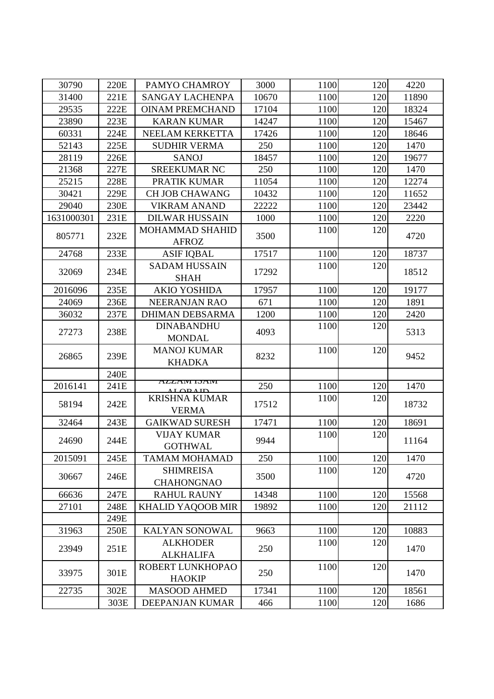| 30790      | 220E | PAMYO CHAMROY                             | 3000  | 1100 | 120 | 4220  |
|------------|------|-------------------------------------------|-------|------|-----|-------|
| 31400      | 221E | <b>SANGAY LACHENPA</b>                    | 10670 | 1100 | 120 | 11890 |
| 29535      | 222E | <b>OINAM PREMCHAND</b>                    | 17104 | 1100 | 120 | 18324 |
| 23890      | 223E | <b>KARAN KUMAR</b>                        | 14247 | 1100 | 120 | 15467 |
| 60331      | 224E | NEELAM KERKETTA                           | 17426 | 1100 | 120 | 18646 |
| 52143      | 225E | <b>SUDHIR VERMA</b>                       | 250   | 1100 | 120 | 1470  |
| 28119      | 226E | <b>SANOJ</b>                              | 18457 | 1100 | 120 | 19677 |
| 21368      | 227E | <b>SREEKUMAR NC</b>                       | 250   | 1100 | 120 | 1470  |
| 25215      | 228E | PRATIK KUMAR                              | 11054 | 1100 | 120 | 12274 |
| 30421      | 229E | <b>CH JOB CHAWANG</b>                     | 10432 | 1100 | 120 | 11652 |
| 29040      | 230E | <b>VIKRAM ANAND</b>                       | 22222 | 1100 | 120 | 23442 |
| 1631000301 | 231E | <b>DILWAR HUSSAIN</b>                     | 1000  | 1100 | 120 | 2220  |
|            |      | MOHAMMAD SHAHID                           |       | 1100 | 120 |       |
| 805771     | 232E | <b>AFROZ</b>                              | 3500  |      |     | 4720  |
| 24768      | 233E | <b>ASIF IQBAL</b>                         | 17517 | 1100 | 120 | 18737 |
|            |      | <b>SADAM HUSSAIN</b>                      |       | 1100 | 120 |       |
| 32069      | 234E | <b>SHAH</b>                               | 17292 |      |     | 18512 |
| 2016096    | 235E | <b>AKIO YOSHIDA</b>                       | 17957 | 1100 | 120 | 19177 |
| 24069      | 236E | <b>NEERANJAN RAO</b>                      | 671   | 1100 | 120 | 1891  |
| 36032      | 237E | <b>DHIMAN DEBSARMA</b>                    | 1200  | 1100 | 120 | 2420  |
|            |      | <b>DINABANDHU</b>                         |       | 1100 | 120 |       |
| 27273      | 238E | <b>MONDAL</b>                             | 4093  |      |     | 5313  |
|            |      | <b>MANOJ KUMAR</b>                        |       | 1100 | 120 |       |
| 26865      | 239E | <b>KHADKA</b>                             | 8232  |      |     | 9452  |
|            | 240E |                                           |       |      |     |       |
| 2016141    | 241E | A <i>LL</i> AMI IƏAMI<br><u>i ad i in</u> | 250   | 1100 | 120 | 1470  |
|            |      | <b>KRISHNA KUMAR</b>                      |       | 1100 | 120 |       |
| 58194      | 242E | <b>VERMA</b>                              | 17512 |      |     | 18732 |
| 32464      | 243E | <b>GAIKWAD SURESH</b>                     | 17471 | 1100 | 120 | 18691 |
|            |      | <b>VIJAY KUMAR</b>                        |       | 1100 | 120 |       |
| 24690      | 244E | <b>GOTHWAL</b>                            | 9944  |      |     | 11164 |
| 2015091    | 245E | <b>TAMAM MOHAMAD</b>                      | 250   | 1100 | 120 | 1470  |
|            |      | <b>SHIMREISA</b>                          |       | 1100 | 120 |       |
| 30667      | 246E | <b>CHAHONGNAO</b>                         | 3500  |      |     | 4720  |
| 66636      | 247E | <b>RAHUL RAUNY</b>                        | 14348 | 1100 | 120 | 15568 |
| 27101      | 248E | <b>KHALID YAQOOB MIR</b>                  | 19892 | 1100 | 120 | 21112 |
|            | 249E |                                           |       |      |     |       |
| 31963      | 250E | KALYAN SONOWAL                            | 9663  | 1100 | 120 | 10883 |
|            |      | <b>ALKHODER</b>                           |       | 1100 | 120 |       |
| 23949      | 251E | <b>ALKHALIFA</b>                          | 250   |      |     | 1470  |
|            |      | ROBERT LUNKHOPAO                          |       | 1100 | 120 |       |
| 33975      | 301E | <b>HAOKIP</b>                             | 250   |      |     | 1470  |
| 22735      | 302E | <b>MASOOD AHMED</b>                       | 17341 | 1100 | 120 | 18561 |
|            | 303E | DEEPANJAN KUMAR                           | 466   | 1100 | 120 | 1686  |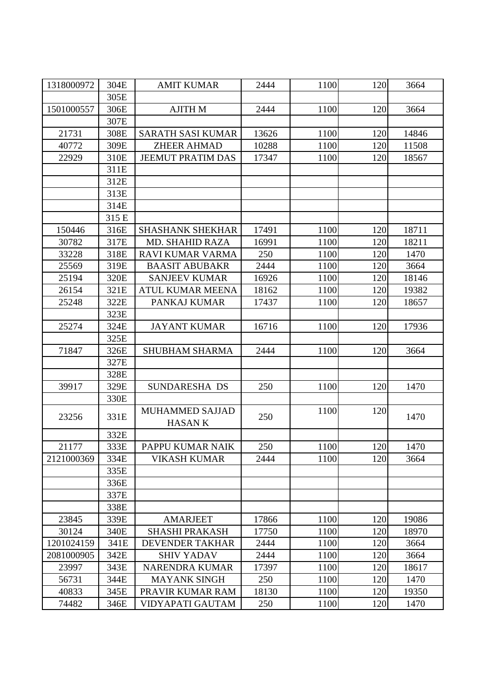| 1318000972 | 304E  | <b>AMIT KUMAR</b>        | 2444  | 1100 | 120 | 3664  |
|------------|-------|--------------------------|-------|------|-----|-------|
|            | 305E  |                          |       |      |     |       |
| 1501000557 | 306E  | <b>AJITH M</b>           | 2444  | 1100 | 120 | 3664  |
|            | 307E  |                          |       |      |     |       |
| 21731      | 308E  | <b>SARATH SASI KUMAR</b> | 13626 | 1100 | 120 | 14846 |
| 40772      | 309E  | <b>ZHEER AHMAD</b>       | 10288 | 1100 | 120 | 11508 |
| 22929      | 310E  | <b>JEEMUT PRATIM DAS</b> | 17347 | 1100 | 120 | 18567 |
|            | 311E  |                          |       |      |     |       |
|            | 312E  |                          |       |      |     |       |
|            | 313E  |                          |       |      |     |       |
|            | 314E  |                          |       |      |     |       |
|            | 315 E |                          |       |      |     |       |
| 150446     | 316E  | <b>SHASHANK SHEKHAR</b>  | 17491 | 1100 | 120 | 18711 |
| 30782      | 317E  | <b>MD. SHAHID RAZA</b>   | 16991 | 1100 | 120 | 18211 |
| 33228      | 318E  | <b>RAVI KUMAR VARMA</b>  | 250   | 1100 | 120 | 1470  |
| 25569      | 319E  | <b>BAASIT ABUBAKR</b>    | 2444  | 1100 | 120 | 3664  |
| 25194      | 320E  | <b>SANJEEV KUMAR</b>     | 16926 | 1100 | 120 | 18146 |
| 26154      | 321E  | <b>ATUL KUMAR MEENA</b>  | 18162 | 1100 | 120 | 19382 |
| 25248      | 322E  | PANKAJ KUMAR             | 17437 | 1100 | 120 | 18657 |
|            | 323E  |                          |       |      |     |       |
| 25274      | 324E  | <b>JAYANT KUMAR</b>      | 16716 | 1100 | 120 | 17936 |
|            | 325E  |                          |       |      |     |       |
| 71847      | 326E  | <b>SHUBHAM SHARMA</b>    | 2444  | 1100 | 120 | 3664  |
|            | 327E  |                          |       |      |     |       |
|            | 328E  |                          |       |      |     |       |
| 39917      | 329E  | SUNDARESHA DS            | 250   | 1100 | 120 | 1470  |
|            | 330E  |                          |       |      |     |       |
|            |       | MUHAMMED SAJJAD          |       | 1100 | 120 |       |
| 23256      | 331E  | <b>HASANK</b>            | 250   |      |     | 1470  |
|            | 332E  |                          |       |      |     |       |
| 21177      | 333E  | PAPPU KUMAR NAIK         | 250   | 1100 | 120 | 1470  |
| 2121000369 | 334E  | <b>VIKASH KUMAR</b>      | 2444  | 1100 | 120 | 3664  |
|            | 335E  |                          |       |      |     |       |
|            | 336E  |                          |       |      |     |       |
|            | 337E  |                          |       |      |     |       |
|            | 338E  |                          |       |      |     |       |
| 23845      | 339E  | <b>AMARJEET</b>          | 17866 | 1100 | 120 | 19086 |
| 30124      | 340E  | <b>SHASHI PRAKASH</b>    | 17750 | 1100 | 120 | 18970 |
| 1201024159 | 341E  | DEVENDER TAKHAR          | 2444  | 1100 | 120 | 3664  |
| 2081000905 | 342E  | <b>SHIV YADAV</b>        | 2444  | 1100 | 120 | 3664  |
| 23997      | 343E  | <b>NARENDRA KUMAR</b>    | 17397 | 1100 | 120 | 18617 |
| 56731      | 344E  | <b>MAYANK SINGH</b>      | 250   | 1100 | 120 | 1470  |
| 40833      | 345E  | PRAVIR KUMAR RAM         | 18130 | 1100 | 120 | 19350 |
| 74482      | 346E  | VIDYAPATI GAUTAM         | 250   | 1100 | 120 | 1470  |